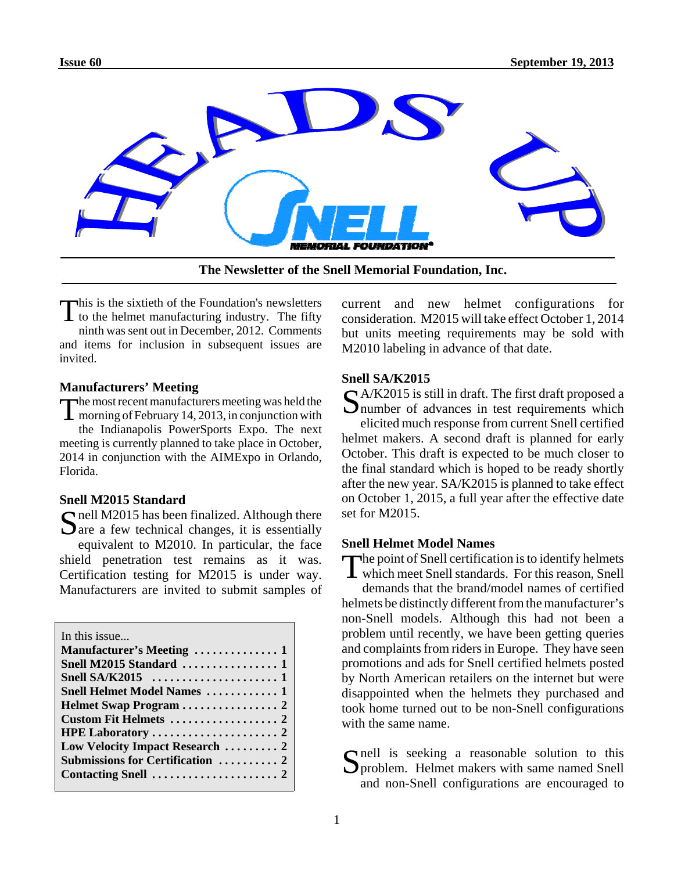

**The Newsletter of the Snell Memorial Foundation, Inc.**

This is the sixtieth of the Foundation's newsletters  $\perp$  to the helmet manufacturing industry. The fifty ninth was sent out in December, 2012. Comments and items for inclusion in subsequent issues are invited.

## **Manufacturers' Meeting**

The most recent manufacturers meeting was held the<br>morning of February 14, 2013, in conjunction with the Indianapolis PowerSports Expo. The next meeting is currently planned to take place in October,

2014 in conjunction with the AIMExpo in Orlando, Florida.

## **Snell M2015 Standard**

 $\Omega$  nell M2015 has been finalized. Although there  $\sum$  are a few technical changes, it is essentially equivalent to M2010. In particular, the face shield penetration test remains as it was. Certification testing for M2015 is under way. Manufacturers are invited to submit samples of

| In this issue                                                  |
|----------------------------------------------------------------|
| Manufacturer's Meeting  1                                      |
| Snell M2015 Standard  1                                        |
| Snell SA/K2015 $\dots\dots\dots\dots\dots\dots\dots\dots$      |
| <b>Snell Helmet Model Names  1</b>                             |
|                                                                |
|                                                                |
|                                                                |
| Low Velocity Impact Research  2                                |
| Submissions for Certification  2                               |
| Contacting Snell $\ldots \ldots \ldots \ldots \ldots \ldots$ 2 |
|                                                                |

current and new helmet configurations for consideration. M2015 will take effect October 1, 2014 but units meeting requirements may be sold with M2010 labeling in advance of that date.

## **Snell SA/K2015**

 $\bigcap$  A/K2015 is still in draft. The first draft proposed a Inumber of advances in test requirements which elicited much response from current Snell certified helmet makers. A second draft is planned for early October. This draft is expected to be much closer to the final standard which is hoped to be ready shortly after the new year. SA/K2015 is planned to take effect on October 1, 2015, a full year after the effective date set for M2015.

## **Snell Helmet Model Names**

The point of Snell certification is to identify helmets **L** which meet Snell standards. For this reason, Snell

demands that the brand/model names of certified helmets be distinctly different from the manufacturer's non-Snell models. Although this had not been a problem until recently, we have been getting queries and complaints from riders in Europe. They have seen promotions and ads for Snell certified helmets posted by North American retailers on the internet but were disappointed when the helmets they purchased and took home turned out to be non-Snell configurations with the same name.

Solution to this Sproblem. Helmet makers with same named Snell and non-Snell configurations are encouraged to